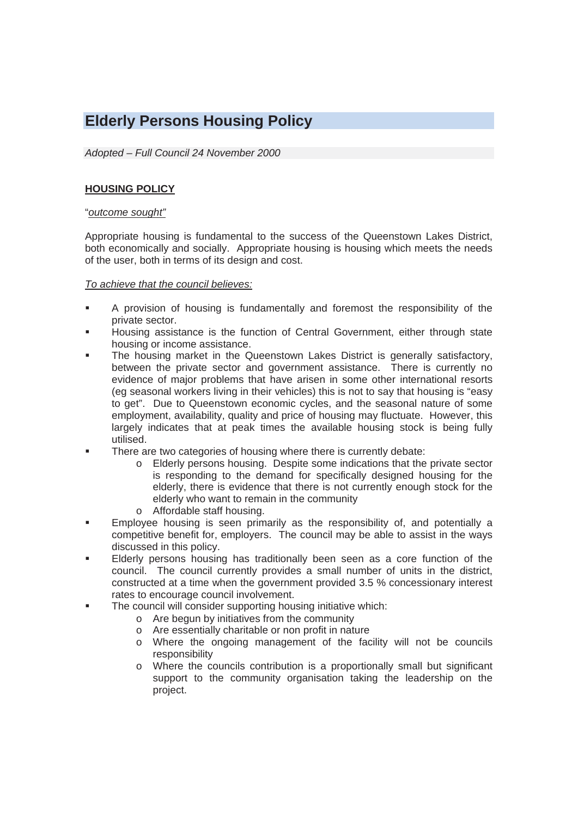# **Elderly Persons Housing Policy**

*Adopted – Full Council 24 November 2000* 

### **HOUSING POLICY**

#### "*outcome sought"*

Appropriate housing is fundamental to the success of the Queenstown Lakes District, both economically and socially. Appropriate housing is housing which meets the needs of the user, both in terms of its design and cost.

#### *To achieve that the council believes:*

- A provision of housing is fundamentally and foremost the responsibility of the private sector.
- Housing assistance is the function of Central Government, either through state housing or income assistance.
- The housing market in the Queenstown Lakes District is generally satisfactory, between the private sector and government assistance. There is currently no evidence of major problems that have arisen in some other international resorts (eg seasonal workers living in their vehicles) this is not to say that housing is "easy to get". Due to Queenstown economic cycles, and the seasonal nature of some employment, availability, quality and price of housing may fluctuate. However, this largely indicates that at peak times the available housing stock is being fully utilised.
- **There are two categories of housing where there is currently debate:** 
	- o Elderly persons housing. Despite some indications that the private sector is responding to the demand for specifically designed housing for the elderly, there is evidence that there is not currently enough stock for the elderly who want to remain in the community
	- o Affordable staff housing.
- Employee housing is seen primarily as the responsibility of, and potentially a competitive benefit for, employers. The council may be able to assist in the ways discussed in this policy.
- Elderly persons housing has traditionally been seen as a core function of the council. The council currently provides a small number of units in the district, constructed at a time when the government provided 3.5 % concessionary interest rates to encourage council involvement.
- **The council will consider supporting housing initiative which:** 
	- o Are begun by initiatives from the community
	- o Are essentially charitable or non profit in nature
	- o Where the ongoing management of the facility will not be councils responsibility
	- o Where the councils contribution is a proportionally small but significant support to the community organisation taking the leadership on the project.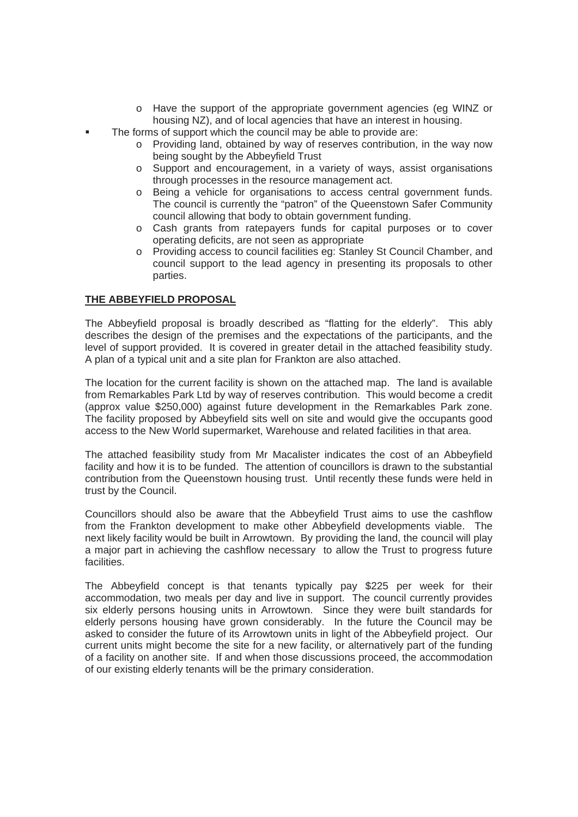- o Have the support of the appropriate government agencies (eg WINZ or housing NZ), and of local agencies that have an interest in housing.
- The forms of support which the council may be able to provide are:
	- o Providing land, obtained by way of reserves contribution, in the way now being sought by the Abbeyfield Trust
	- o Support and encouragement, in a variety of ways, assist organisations through processes in the resource management act.
	- o Being a vehicle for organisations to access central government funds. The council is currently the "patron" of the Queenstown Safer Community council allowing that body to obtain government funding.
	- o Cash grants from ratepayers funds for capital purposes or to cover operating deficits, are not seen as appropriate
	- o Providing access to council facilities eg: Stanley St Council Chamber, and council support to the lead agency in presenting its proposals to other parties.

# **THE ABBEYFIELD PROPOSAL**

The Abbeyfield proposal is broadly described as "flatting for the elderly". This ably describes the design of the premises and the expectations of the participants, and the level of support provided. It is covered in greater detail in the attached feasibility study. A plan of a typical unit and a site plan for Frankton are also attached.

The location for the current facility is shown on the attached map. The land is available from Remarkables Park Ltd by way of reserves contribution. This would become a credit (approx value \$250,000) against future development in the Remarkables Park zone. The facility proposed by Abbeyfield sits well on site and would give the occupants good access to the New World supermarket, Warehouse and related facilities in that area.

The attached feasibility study from Mr Macalister indicates the cost of an Abbeyfield facility and how it is to be funded. The attention of councillors is drawn to the substantial contribution from the Queenstown housing trust. Until recently these funds were held in trust by the Council.

Councillors should also be aware that the Abbeyfield Trust aims to use the cashflow from the Frankton development to make other Abbeyfield developments viable. The next likely facility would be built in Arrowtown. By providing the land, the council will play a major part in achieving the cashflow necessary to allow the Trust to progress future facilities.

The Abbeyfield concept is that tenants typically pay \$225 per week for their accommodation, two meals per day and live in support. The council currently provides six elderly persons housing units in Arrowtown. Since they were built standards for elderly persons housing have grown considerably. In the future the Council may be asked to consider the future of its Arrowtown units in light of the Abbeyfield project. Our current units might become the site for a new facility, or alternatively part of the funding of a facility on another site. If and when those discussions proceed, the accommodation of our existing elderly tenants will be the primary consideration.